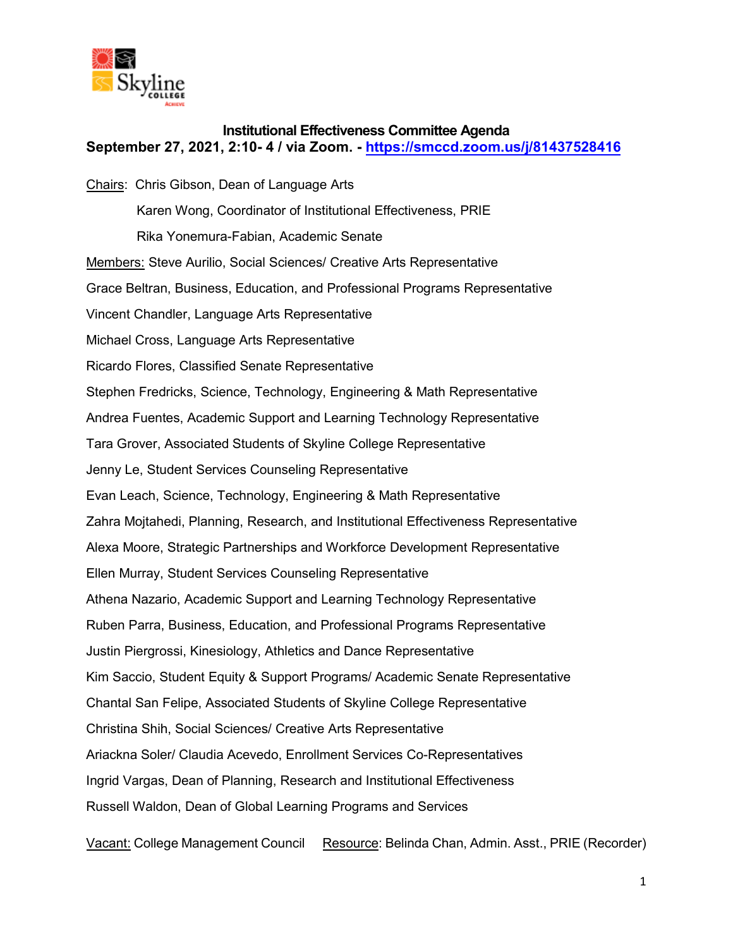

## **Institutional Effectiveness Committee Agenda September 27, 2021, 2:10- 4 / via Zoom. -<https://smccd.zoom.us/j/81437528416>**

Chairs: Chris Gibson, Dean of Language Arts Karen Wong, Coordinator of Institutional Effectiveness, PRIE Rika Yonemura-Fabian, Academic Senate Members: Steve Aurilio, Social Sciences/ Creative Arts Representative Grace Beltran, Business, Education, and Professional Programs Representative Vincent Chandler, Language Arts Representative Michael Cross, Language Arts Representative Ricardo Flores, Classified Senate Representative Stephen Fredricks, Science, Technology, Engineering & Math Representative Andrea Fuentes, Academic Support and Learning Technology Representative Tara Grover, Associated Students of Skyline College Representative Jenny Le, Student Services Counseling Representative Evan Leach, Science, Technology, Engineering & Math Representative Zahra Mojtahedi, Planning, Research, and Institutional Effectiveness Representative Alexa Moore, Strategic Partnerships and Workforce Development Representative Ellen Murray, Student Services Counseling Representative Athena Nazario, Academic Support and Learning Technology Representative Ruben Parra, Business, Education, and Professional Programs Representative Justin Piergrossi, Kinesiology, Athletics and Dance Representative Kim Saccio, Student Equity & Support Programs/ Academic Senate Representative Chantal San Felipe, Associated Students of Skyline College Representative Christina Shih, Social Sciences/ Creative Arts Representative Ariackna Soler/ Claudia Acevedo, Enrollment Services Co-Representatives Ingrid Vargas, Dean of Planning, Research and Institutional Effectiveness Russell Waldon, Dean of Global Learning Programs and Services

Vacant: College Management Council Resource: Belinda Chan, Admin. Asst., PRIE (Recorder)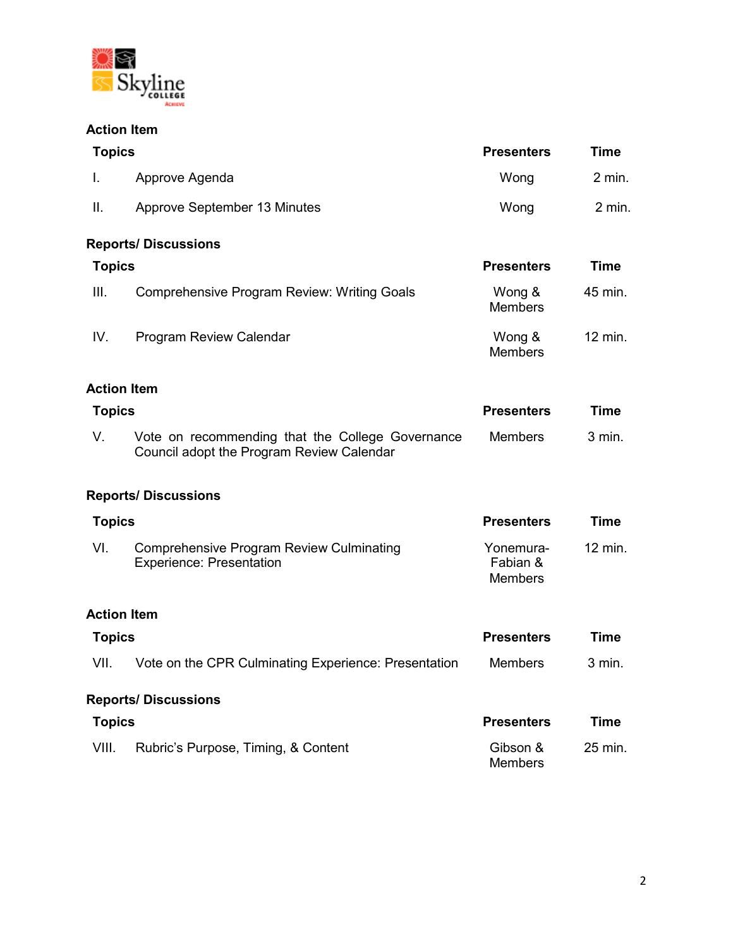

# **Action Item**

| <b>Topics</b>      |                                                                                               | <b>Presenters</b>                       | <b>Time</b> |
|--------------------|-----------------------------------------------------------------------------------------------|-----------------------------------------|-------------|
| L.                 | Approve Agenda                                                                                | Wong                                    | $2$ min.    |
| Ш.                 | Approve September 13 Minutes                                                                  | Wong                                    | $2$ min.    |
|                    | <b>Reports/ Discussions</b>                                                                   |                                         |             |
| <b>Topics</b>      |                                                                                               | <b>Presenters</b>                       | <b>Time</b> |
| III.               | <b>Comprehensive Program Review: Writing Goals</b>                                            | Wong &<br><b>Members</b>                | 45 min.     |
| IV.                | <b>Program Review Calendar</b>                                                                | Wong &<br><b>Members</b>                | 12 min.     |
| <b>Action Item</b> |                                                                                               |                                         |             |
| <b>Topics</b>      |                                                                                               | <b>Presenters</b>                       | <b>Time</b> |
| V.                 | Vote on recommending that the College Governance<br>Council adopt the Program Review Calendar | <b>Members</b>                          | 3 min.      |
|                    | <b>Reports/ Discussions</b>                                                                   |                                         |             |
| <b>Topics</b>      |                                                                                               | <b>Presenters</b>                       | <b>Time</b> |
| VI.                | <b>Comprehensive Program Review Culminating</b><br><b>Experience: Presentation</b>            | Yonemura-<br>Fabian &<br><b>Members</b> | 12 min.     |
| <b>Action Item</b> |                                                                                               |                                         |             |
| <b>Topics</b>      |                                                                                               | <b>Presenters</b>                       | <b>Time</b> |
| VII.               | Vote on the CPR Culminating Experience: Presentation                                          | <b>Members</b>                          | 3 min.      |
|                    | <b>Reports/ Discussions</b>                                                                   |                                         |             |
| <b>Topics</b>      |                                                                                               | <b>Presenters</b>                       | <b>Time</b> |
| VIII.              | Rubric's Purpose, Timing, & Content                                                           | Gibson &<br><b>Members</b>              | 25 min.     |